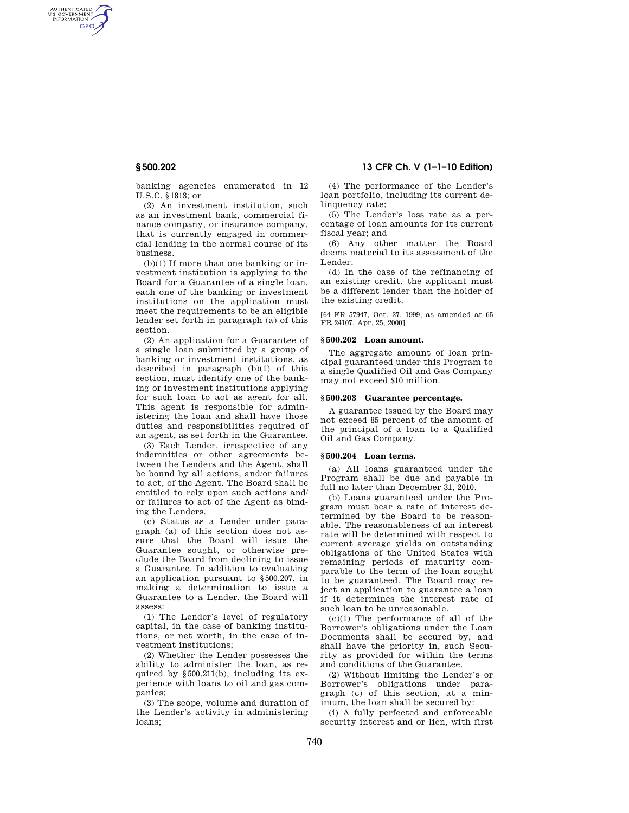AUTHENTICATED<br>U.S. GOVERNMENT<br>INFORMATION GPO

**§ 500.202 13 CFR Ch. V (1–1–10 Edition)** 

banking agencies enumerated in 12 U.S.C. §1813; or

(2) An investment institution, such as an investment bank, commercial finance company, or insurance company, that is currently engaged in commercial lending in the normal course of its business.

(b)(1) If more than one banking or investment institution is applying to the Board for a Guarantee of a single loan, each one of the banking or investment institutions on the application must meet the requirements to be an eligible lender set forth in paragraph (a) of this section.

(2) An application for a Guarantee of a single loan submitted by a group of banking or investment institutions, as described in paragraph (b)(1) of this section, must identify one of the banking or investment institutions applying for such loan to act as agent for all. This agent is responsible for administering the loan and shall have those duties and responsibilities required of an agent, as set forth in the Guarantee.

(3) Each Lender, irrespective of any indemnities or other agreements between the Lenders and the Agent, shall be bound by all actions, and/or failures to act, of the Agent. The Board shall be entitled to rely upon such actions and/ or failures to act of the Agent as binding the Lenders.

(c) Status as a Lender under paragraph (a) of this section does not assure that the Board will issue the Guarantee sought, or otherwise preclude the Board from declining to issue a Guarantee. In addition to evaluating an application pursuant to §500.207, in making a determination to issue a Guarantee to a Lender, the Board will assess:

(1) The Lender's level of regulatory capital, in the case of banking institutions, or net worth, in the case of investment institutions;

(2) Whether the Lender possesses the ability to administer the loan, as required by §500.211(b), including its experience with loans to oil and gas companies;

(3) The scope, volume and duration of the Lender's activity in administering loans;

(4) The performance of the Lender's loan portfolio, including its current delinquency rate;

(5) The Lender's loss rate as a percentage of loan amounts for its current fiscal year; and

(6) Any other matter the Board deems material to its assessment of the Lender.

(d) In the case of the refinancing of an existing credit, the applicant must be a different lender than the holder of the existing credit.

[64 FR 57947, Oct. 27, 1999, as amended at 65 FR 24107, Apr. 25, 2000]

## **§ 500.202 Loan amount.**

The aggregate amount of loan principal guaranteed under this Program to a single Qualified Oil and Gas Company may not exceed \$10 million.

#### **§ 500.203 Guarantee percentage.**

A guarantee issued by the Board may not exceed 85 percent of the amount of the principal of a loan to a Qualified Oil and Gas Company.

### **§ 500.204 Loan terms.**

(a) All loans guaranteed under the Program shall be due and payable in full no later than December 31, 2010.

(b) Loans guaranteed under the Program must bear a rate of interest determined by the Board to be reasonable. The reasonableness of an interest rate will be determined with respect to current average yields on outstanding obligations of the United States with remaining periods of maturity comparable to the term of the loan sought to be guaranteed. The Board may reject an application to guarantee a loan if it determines the interest rate of such loan to be unreasonable.

(c)(1) The performance of all of the Borrower's obligations under the Loan Documents shall be secured by, and shall have the priority in, such Security as provided for within the terms and conditions of the Guarantee.

(2) Without limiting the Lender's or Borrower's obligations under paragraph (c) of this section, at a minimum, the loan shall be secured by:

(i) A fully perfected and enforceable security interest and or lien, with first